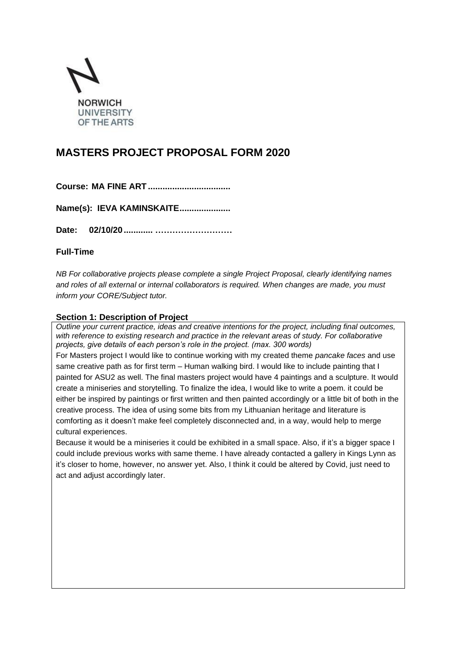

# **MASTERS PROJECT PROPOSAL FORM 2020**

**Name(s): IEVA KAMINSKAITE.....................**

**Date: 02/10/20............ ………………………**

## **Full-Time**

*NB For collaborative projects please complete a single Project Proposal, clearly identifying names and roles of all external or internal collaborators is required. When changes are made, you must inform your CORE/Subject tutor.*

### **Section 1: Description of Project**

*Outline your current practice, ideas and creative intentions for the project, including final outcomes, with reference to existing research and practice in the relevant areas of study. For collaborative projects, give details of each person's role in the project. (max. 300 words)*

For Masters project I would like to continue working with my created theme *pancake faces* and use same creative path as for first term – Human walking bird. I would like to include painting that I painted for ASU2 as well. The final masters project would have 4 paintings and a sculpture. It would create a miniseries and storytelling. To finalize the idea, I would like to write a poem. it could be either be inspired by paintings or first written and then painted accordingly or a little bit of both in the creative process. The idea of using some bits from my Lithuanian heritage and literature is comforting as it doesn't make feel completely disconnected and, in a way, would help to merge cultural experiences.

Because it would be a miniseries it could be exhibited in a small space. Also, if it's a bigger space I could include previous works with same theme. I have already contacted a gallery in Kings Lynn as it's closer to home, however, no answer yet. Also, I think it could be altered by Covid, just need to act and adjust accordingly later.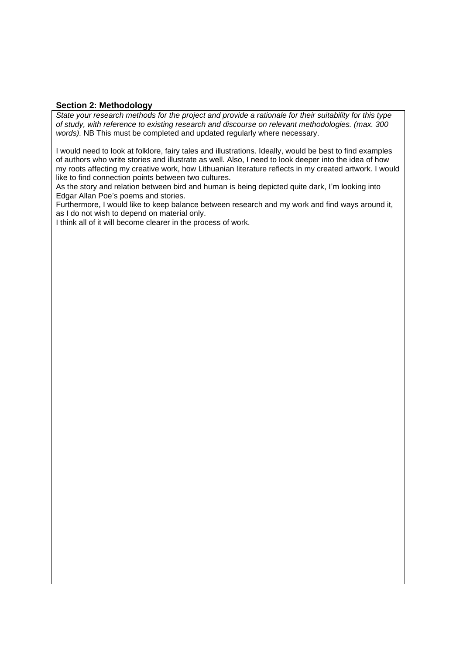### **Section 2: Methodology**

*State your research methods for the project and provide a rationale for their suitability for this type of study, with reference to existing research and discourse on relevant methodologies. (max. 300 words).* NB This must be completed and updated regularly where necessary.

I would need to look at folklore, fairy tales and illustrations. Ideally, would be best to find examples of authors who write stories and illustrate as well. Also, I need to look deeper into the idea of how my roots affecting my creative work, how Lithuanian literature reflects in my created artwork. I would like to find connection points between two cultures.

As the story and relation between bird and human is being depicted quite dark, I'm looking into Edgar Allan Poe's poems and stories.

Furthermore, I would like to keep balance between research and my work and find ways around it, as I do not wish to depend on material only.

I think all of it will become clearer in the process of work.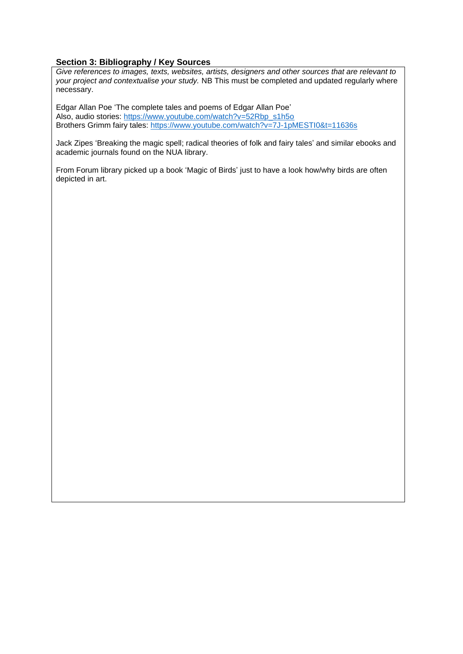## **Section 3: Bibliography / Key Sources**

*Give references to images, texts, websites, artists, designers and other sources that are relevant to your project and contextualise your study.* NB This must be completed and updated regularly where necessary.

Edgar Allan Poe 'The complete tales and poems of Edgar Allan Poe' Also, audio stories: [https://www.youtube.com/watch?v=52Rbp\\_s1h5o](https://www.youtube.com/watch?v=52Rbp_s1h5o) Brothers Grimm fairy tales:<https://www.youtube.com/watch?v=7J-1pMESTI0&t=11636s>

Jack Zipes 'Breaking the magic spell; radical theories of folk and fairy tales' and similar ebooks and academic journals found on the NUA library.

From Forum library picked up a book 'Magic of Birds' just to have a look how/why birds are often depicted in art.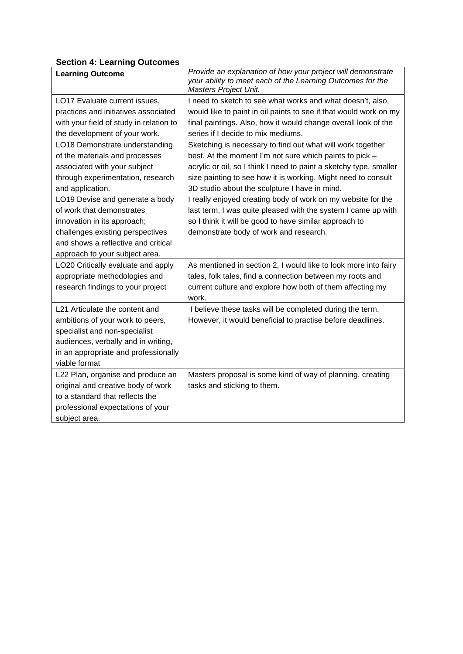# **Section 4: Learning Outcomes**

| <b>Learning Outcome</b>                 | Provide an explanation of how your project will demonstrate<br>your ability to meet each of the Learning Outcomes for the |  |  |
|-----------------------------------------|---------------------------------------------------------------------------------------------------------------------------|--|--|
|                                         | Masters Project Unit.                                                                                                     |  |  |
| LO17 Evaluate current issues,           | I need to sketch to see what works and what doesn't, also,                                                                |  |  |
| practices and initiatives associated    | would like to paint in oil paints to see if that would work on my                                                         |  |  |
| with your field of study in relation to | final paintings. Also, how it would change overall look of the                                                            |  |  |
| the development of your work.           | series if I decide to mix mediums.                                                                                        |  |  |
| LO18 Demonstrate understanding          | Sketching is necessary to find out what will work together                                                                |  |  |
| of the materials and processes          | best. At the moment I'm not sure which paints to pick -                                                                   |  |  |
| associated with your subject            | acrylic or oil, so I think I need to paint a sketchy type, smaller                                                        |  |  |
| through experimentation, research       | size painting to see how it is working. Might need to consult                                                             |  |  |
| and application.                        | 3D studio about the sculpture I have in mind.                                                                             |  |  |
| LO19 Devise and generate a body         | I really enjoyed creating body of work on my website for the                                                              |  |  |
| of work that demonstrates               | last term, I was quite pleased with the system I came up with                                                             |  |  |
| innovation in its approach;             | so I think it will be good to have similar approach to                                                                    |  |  |
| challenges existing perspectives        | demonstrate body of work and research.                                                                                    |  |  |
| and shows a reflective and critical     |                                                                                                                           |  |  |
| approach to your subject area.          |                                                                                                                           |  |  |
| LO20 Critically evaluate and apply      | As mentioned in section 2, I would like to look more into fairy                                                           |  |  |
| appropriate methodologies and           | tales, folk tales, find a connection between my roots and                                                                 |  |  |
| research findings to your project       | current culture and explore how both of them affecting my                                                                 |  |  |
|                                         | work.                                                                                                                     |  |  |
| L21 Articulate the content and          | I believe these tasks will be completed during the term.                                                                  |  |  |
| ambitions of your work to peers,        | However, it would beneficial to practise before deadlines.                                                                |  |  |
| specialist and non-specialist           |                                                                                                                           |  |  |
| audiences, verbally and in writing,     |                                                                                                                           |  |  |
| in an appropriate and professionally    |                                                                                                                           |  |  |
| viable format                           |                                                                                                                           |  |  |
| L22 Plan, organise and produce an       | Masters proposal is some kind of way of planning, creating                                                                |  |  |
| original and creative body of work      | tasks and sticking to them.                                                                                               |  |  |
| to a standard that reflects the         |                                                                                                                           |  |  |
| professional expectations of your       |                                                                                                                           |  |  |
| subject area.                           |                                                                                                                           |  |  |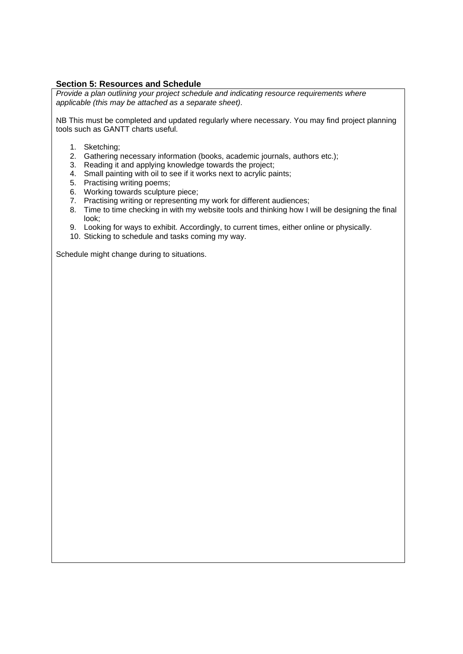## **Section 5: Resources and Schedule**

*Provide a plan outlining your project schedule and indicating resource requirements where applicable (this may be attached as a separate sheet).* 

NB This must be completed and updated regularly where necessary. You may find project planning tools such as GANTT charts useful.

- 1. Sketching;
- 2. Gathering necessary information (books, academic journals, authors etc.);
- 3. Reading it and applying knowledge towards the project;
- 4. Small painting with oil to see if it works next to acrylic paints;
- 5. Practising writing poems;
- 6. Working towards sculpture piece;
- 7. Practising writing or representing my work for different audiences;
- 8. Time to time checking in with my website tools and thinking how I will be designing the final look;
- 9. Looking for ways to exhibit. Accordingly, to current times, either online or physically.
- 10. Sticking to schedule and tasks coming my way.

Schedule might change during to situations.